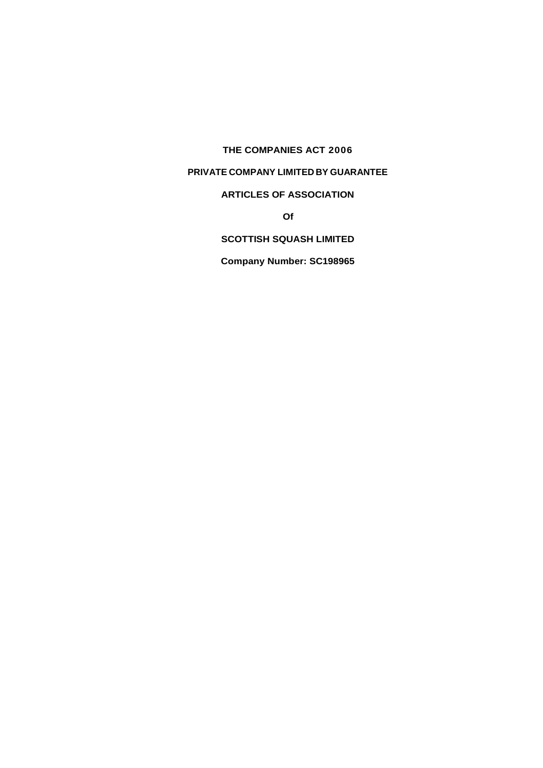**THE COMPANIES ACT 2006**

# **PRIVATE COMPANY LIMITED BY GUARANTEE**

# **ARTICLES OF ASSOCIATION**

**Of**

# **SCOTTISH SQUASH LIMITED**

**Company Number: SC198965**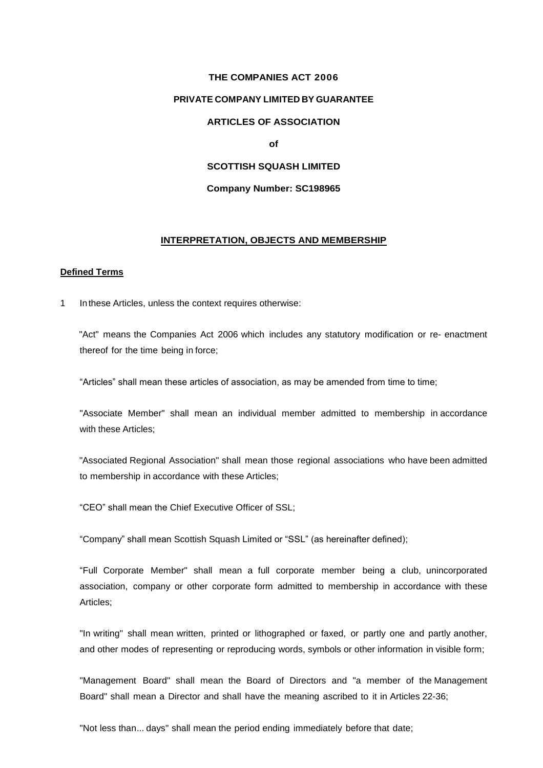# **THE COMPANIES ACT 2006 PRIVATE COMPANY LIMITED BY GUARANTEE ARTICLES OF ASSOCIATION of SCOTTISH SQUASH LIMITED**

## **Company Number: SC198965**

## **INTERPRETATION, OBJECTS AND MEMBERSHIP**

## **Defined Terms**

1 Inthese Articles, unless the context requires otherwise:

"Act" means the Companies Act 2006 which includes any statutory modification or re- enactment thereof for the time being in force;

"Articles" shall mean these articles of association, as may be amended from time to time;

"Associate Member" shall mean an individual member admitted to membership in accordance with these Articles;

"Associated Regional Association" shall mean those regional associations who have been admitted to membership in accordance with these Articles;

"CEO" shall mean the Chief Executive Officer of SSL;

"Company" shall mean Scottish Squash Limited or "SSL" (as hereinafter defined);

"Full Corporate Member" shall mean a full corporate member being a club, unincorporated association, company or other corporate form admitted to membership in accordance with these Articles;

"In writing" shall mean written, printed or lithographed or faxed, or partly one and partly another, and other modes of representing or reproducing words, symbols or other information in visible form;

"Management Board" shall mean the Board of Directors and "a member of the Management Board" shall mean a Director and shall have the meaning ascribed to it in Articles 22-36;

"Not less than... days" shall mean the period ending immediately before that date;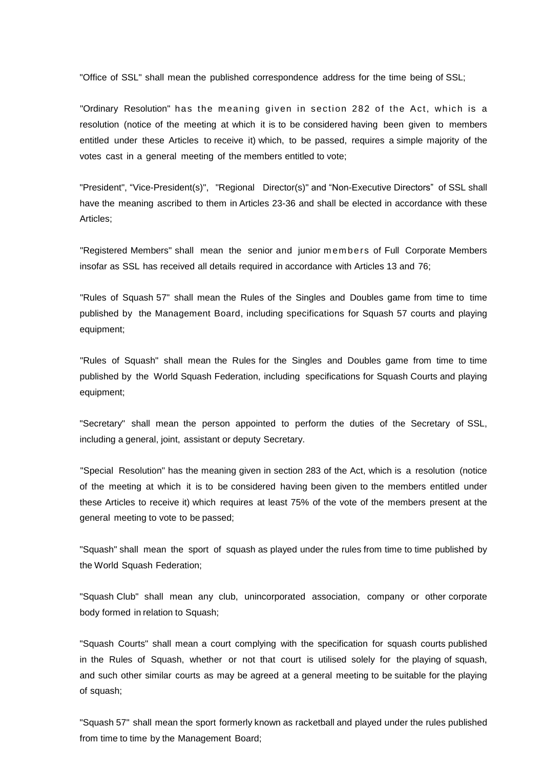"Office of SSL" shall mean the published correspondence address for the time being of SSL;

"Ordinary Resolution" has the meaning given in section 282 of the Act, which is a resolution (notice of the meeting at which it is to be considered having been given to members entitled under these Articles to receive it) which, to be passed, requires a simple majority of the votes cast in a general meeting of the members entitled to vote;

"President", "Vice-President(s)", "Regional Director(s)" and "Non-Executive Directors" of SSL shall have the meaning ascribed to them in Articles 23-36 and shall be elected in accordance with these Articles;

"Registered Members" shall mean the senior and junior m em bers of Full Corporate Members insofar as SSL has received all details required in accordance with Articles 13 and 76;

"Rules of Squash 57" shall mean the Rules of the Singles and Doubles game from time to time published by the Management Board, including specifications for Squash 57 courts and playing equipment;

"Rules of Squash" shall mean the Rules for the Singles and Doubles game from time to time published by the World Squash Federation, including specifications for Squash Courts and playing equipment;

"Secretary" shall mean the person appointed to perform the duties of the Secretary of SSL, including a general, joint, assistant or deputy Secretary.

"Special Resolution" has the meaning given in section 283 of the Act, which is a resolution (notice of the meeting at which it is to be considered having been given to the members entitled under these Articles to receive it) which requires at least 75% of the vote of the members present at the general meeting to vote to be passed;

"Squash" shall mean the sport of squash as played under the rules from time to time published by the World Squash Federation;

"Squash Club" shall mean any club, unincorporated association, company or other corporate body formed in relation to Squash;

"Squash Courts" shall mean a court complying with the specification for squash courts published in the Rules of Squash, whether or not that court is utilised solely for the playing of squash, and such other similar courts as may be agreed at a general meeting to be suitable for the playing of squash;

"Squash 57" shall mean the sport formerly known as racketball and played under the rules published from time to time by the Management Board;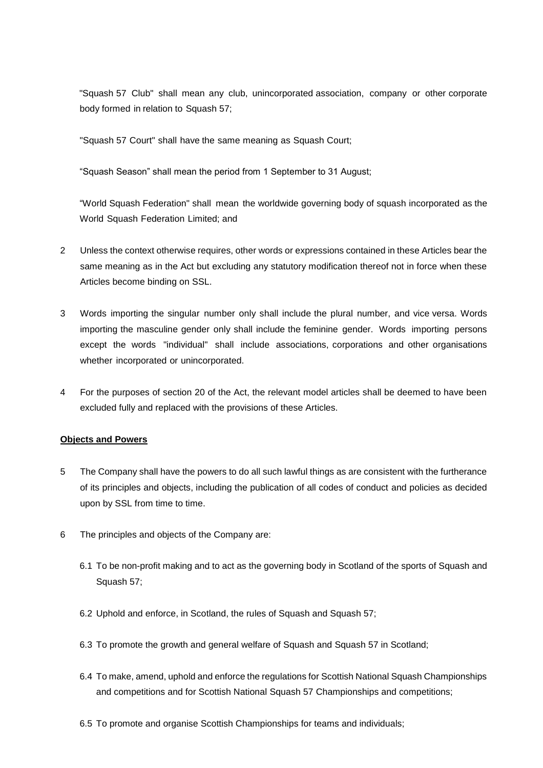"Squash 57 Club" shall mean any club, unincorporated association, company or other corporate body formed in relation to Squash 57;

"Squash 57 Court" shall have the same meaning as Squash Court;

"Squash Season" shall mean the period from 1 September to 31 August;

"World Squash Federation" shall mean the worldwide governing body of squash incorporated as the World Squash Federation Limited; and

- 2 Unless the context otherwise requires, other words or expressions contained in these Articles bear the same meaning as in the Act but excluding any statutory modification thereof not in force when these Articles become binding on SSL.
- 3 Words importing the singular number only shall include the plural number, and vice versa. Words importing the masculine gender only shall include the feminine gender. Words importing persons except the words "individual" shall include associations, corporations and other organisations whether incorporated or unincorporated.
- 4 For the purposes of section 20 of the Act, the relevant model articles shall be deemed to have been excluded fully and replaced with the provisions of these Articles.

# **Objects and Powers**

- 5 The Company shall have the powers to do all such lawful things as are consistent with the furtherance of its principles and objects, including the publication of all codes of conduct and policies as decided upon by SSL from time to time.
- 6 The principles and objects of the Company are:
	- 6.1 To be non-profit making and to act as the governing body in Scotland of the sports of Squash and Squash 57;
	- 6.2 Uphold and enforce, in Scotland, the rules of Squash and Squash 57;
	- 6.3 To promote the growth and general welfare of Squash and Squash 57 in Scotland;
	- 6.4 To make, amend, uphold and enforce the regulations for Scottish National Squash Championships and competitions and for Scottish National Squash 57 Championships and competitions;
	- 6.5 To promote and organise Scottish Championships for teams and individuals;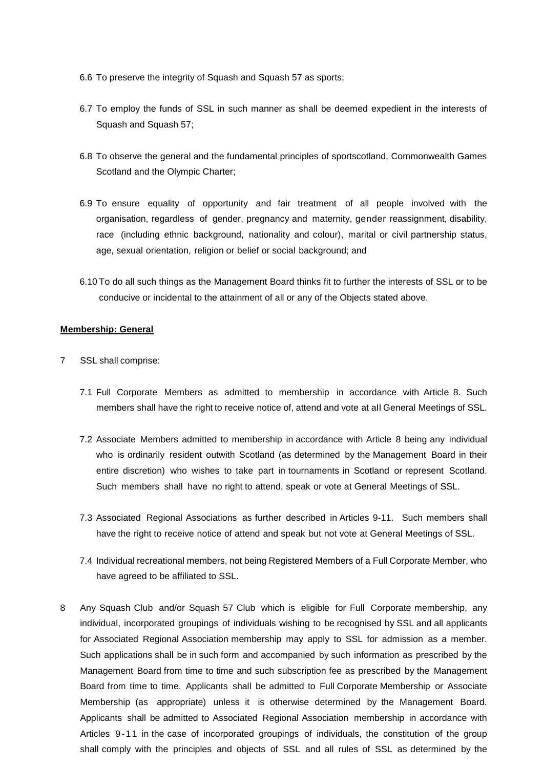- 6.6 To preserve the integrity of Squash and Squash 57 as sports;
- 6.7 To employ the funds of SSL in such manner as shall be deemed expedient in the interests of Squash and Squash 57;
- 6.8 To observe the general and the fundamental principles of sportscotland, Commonwealth Games Scotland and the Olympic Charter;
- 6.9 To ensure equality of opportunity and fair treatment of all people involved with the organisation, regardless of gender, pregnancy and maternity, gender reassignment, disability, race (including ethnic background, nationality and colour), marital or civil partnership status, age, sexual orientation, religion or belief or social background; and
- 6.10 To do all such things as the Management Board thinks fit to further the interests of SSL or to be conducive or incidental to the attainment of all or any of the Objects stated above.

## **Membership: General**

- 7 SSL shall comprise:
	- 7.1 Full Corporate Members as admitted to membership in accordance with Article 8. Such members shall have the right to receive notice of, attend and vote at aII General Meetings of SSL.
	- 7.2 Associate Members admitted to membership in accordance with Article 8 being any individual who is ordinarily resident outwith Scotland (as determined by the Management Board in their entire discretion) who wishes to take part in tournaments in Scotland or represent Scotland. Such members shall have no right to attend, speak or vote at General Meetings of SSL.
	- 7.3 Associated Regional Associations as further described in Articles 9-11. Such members shall have the right to receive notice of attend and speak but not vote at General Meetings of SSL.
	- 7.4 Individual recreational members, not being Registered Members of a Full Corporate Member, who have agreed to be affiliated to SSL.
- 8 Any Squash Club and/or Squash 57 Club which is eligible for Full Corporate membership, any individual, incorporated groupings of individuals wishing to be recognised by SSL and all applicants for Associated Regional Association membership may apply to SSL for admission as a member. Such applications shall be in such form and accompanied by such information as prescribed by the Management Board from time to time and such subscription fee as prescribed by the Management Board from time to time. Applicants shall be admitted to Full Corporate Membership or Associate Membership (as appropriate) unless it is otherwise determined by the Management Board. Applicants shall be admitted to Associated Regional Association membership in accordance with Articles 9-11 in the case of incorporated groupings of individuals, the constitution of the group shall comply with the principles and objects of SSL and all rules of SSL as determined by the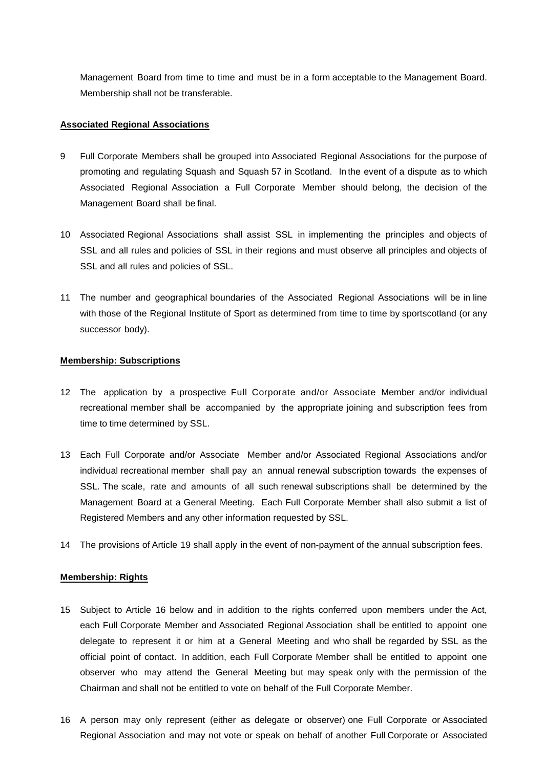Management Board from time to time and must be in a form acceptable to the Management Board. Membership shall not be transferable.

## **Associated Regional Associations**

- 9 Full Corporate Members shall be grouped into Associated Regional Associations for the purpose of promoting and regulating Squash and Squash 57 in Scotland. In the event of a dispute as to which Associated Regional Association a Full Corporate Member should belong, the decision of the Management Board shall be final.
- 10 Associated Regional Associations shall assist SSL in implementing the principles and objects of SSL and all rules and policies of SSL in their regions and must observe all principles and objects of SSL and all rules and policies of SSL.
- 11 The number and geographical boundaries of the Associated Regional Associations will be in line with those of the Regional Institute of Sport as determined from time to time by sportscotland (or any successor body).

## **Membership: Subscriptions**

- 12 The application by a prospective Full Corporate and/or Associate Member and/or individual recreational member shall be accompanied by the appropriate joining and subscription fees from time to time determined by SSL.
- 13 Each Full Corporate and/or Associate Member and/or Associated Regional Associations and/or individual recreational member shall pay an annual renewal subscription towards the expenses of SSL. The scale, rate and amounts of all such renewal subscriptions shall be determined by the Management Board at a General Meeting. Each Full Corporate Member shall also submit a list of Registered Members and any other information requested by SSL.
- 14 The provisions of Article 19 shall apply in the event of non-payment of the annual subscription fees.

# **Membership: Rights**

- 15 Subject to Article 16 below and in addition to the rights conferred upon members under the Act, each Full Corporate Member and Associated Regional Association shall be entitled to appoint one delegate to represent it or him at a General Meeting and who shall be regarded by SSL as the official point of contact. In addition, each Full Corporate Member shall be entitled to appoint one observer who may attend the General Meeting but may speak only with the permission of the Chairman and shall not be entitled to vote on behalf of the Full Corporate Member.
- 16 A person may only represent (either as delegate or observer) one Full Corporate or Associated Regional Association and may not vote or speak on behalf of another Full Corporate or Associated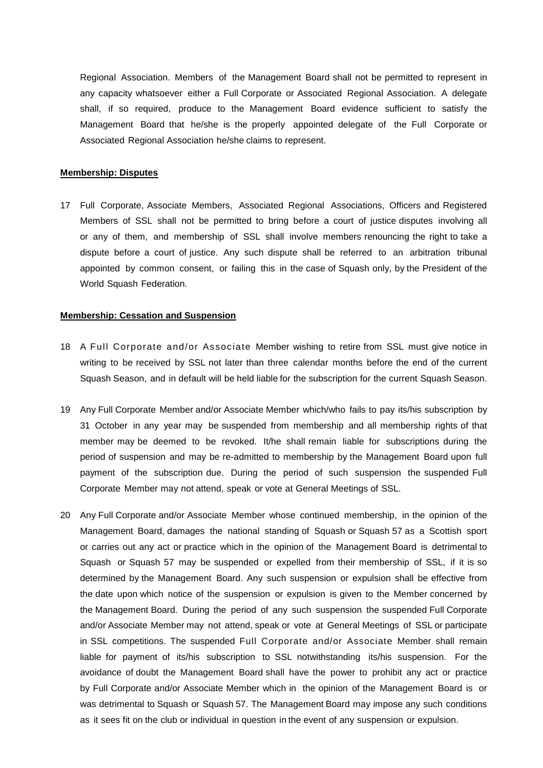Regional Association. Members of the Management Board shall not be permitted to represent in any capacity whatsoever either a Full Corporate or Associated Regional Association. A delegate shall, if so required, produce to the Management Board evidence sufficient to satisfy the Management Board that he/she is the properly appointed delegate of the Full Corporate or Associated Regional Association he/she claims to represent.

#### **Membership: Disputes**

17 Full Corporate, Associate Members, Associated Regional Associations, Officers and Registered Members of SSL shall not be permitted to bring before a court of justice disputes involving all or any of them, and membership of SSL shall involve members renouncing the right to take a dispute before a court of justice. Any such dispute shall be referred to an arbitration tribunal appointed by common consent, or failing this in the case of Squash only, by the President of the World Squash Federation.

# **Membership: Cessation and Suspension**

- 18 A Full Corporate and/or Associate Member wishing to retire from SSL must give notice in writing to be received by SSL not later than three calendar months before the end of the current Squash Season, and in default will be held liable for the subscription for the current Squash Season.
- 19 Any Full Corporate Member and/or Associate Member which/who fails to pay its/his subscription by 31 October in any year may be suspended from membership and all membership rights of that member may be deemed to be revoked. It/he shall remain liable for subscriptions during the period of suspension and may be re-admitted to membership by the Management Board upon full payment of the subscription due. During the period of such suspension the suspended Full Corporate Member may not attend, speak or vote at General Meetings of SSL.
- 20 Any Full Corporate and/or Associate Member whose continued membership, in the opinion of the Management Board, damages the national standing of Squash or Squash 57 as a Scottish sport or carries out any act or practice which in the opinion of the Management Board is detrimental to Squash or Squash 57 may be suspended or expelled from their membership of SSL, if it is so determined by the Management Board. Any such suspension or expulsion shall be effective from the date upon which notice of the suspension or expulsion is given to the Member concerned by the Management Board. During the period of any such suspension the suspended Full Corporate and/or Associate Member may not attend, speak or vote at General Meetings of SSL or participate in SSL competitions. The suspended Full Corporate and/or Associate Member shall remain liable for payment of its/his subscription to SSL notwithstanding its/his suspension. For the avoidance of doubt the Management Board shall have the power to prohibit any act or practice by Full Corporate and/or Associate Member which in the opinion of the Management Board is or was detrimental to Squash or Squash 57. The Management Board may impose any such conditions as it sees fit on the club or individual in question in the event of any suspension or expulsion.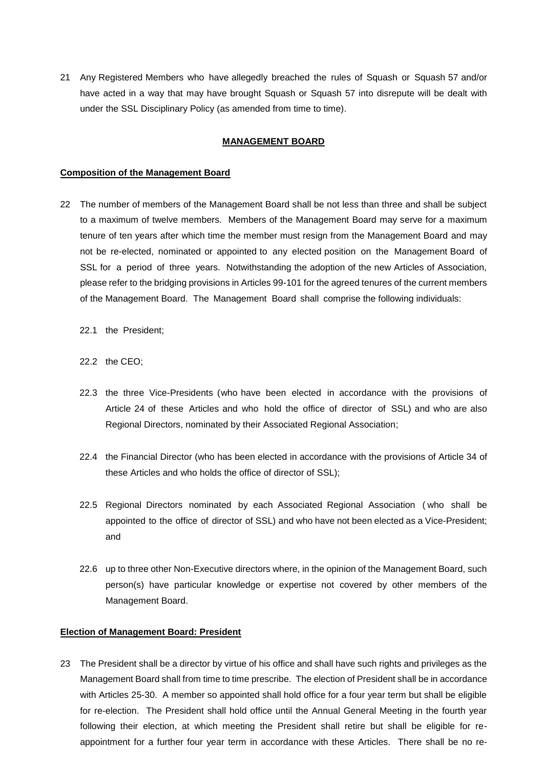21 Any Registered Members who have allegedly breached the rules of Squash or Squash 57 and/or have acted in a way that may have brought Squash or Squash 57 into disrepute will be dealt with under the SSL Disciplinary Policy (as amended from time to time).

## **MANAGEMENT BOARD**

## **Composition of the Management Board**

- 22 The number of members of the Management Board shall be not less than three and shall be subject to a maximum of twelve members. Members of the Management Board may serve for a maximum tenure of ten years after which time the member must resign from the Management Board and may not be re-elected, nominated or appointed to any elected position on the Management Board of SSL for a period of three years. Notwithstanding the adoption of the new Articles of Association, please refer to the bridging provisions in Articles 99-101 for the agreed tenures of the current members of the Management Board. The Management Board shall comprise the following individuals:
	- 22.1 the President;
	- 22.2 the CEO;
	- 22.3 the three Vice-Presidents (who have been elected in accordance with the provisions of Article 24 of these Articles and who hold the office of director of SSL) and who are also Regional Directors, nominated by their Associated Regional Association;
	- 22.4 the Financial Director (who has been elected in accordance with the provisions of Article 34 of these Articles and who holds the office of director of SSL);
	- 22.5 Regional Directors nominated by each Associated Regional Association ( who shall be appointed to the office of director of SSL) and who have not been elected as a Vice-President; and
	- 22.6 up to three other Non-Executive directors where, in the opinion of the Management Board, such person(s) have particular knowledge or expertise not covered by other members of the Management Board.

## **Election of Management Board: President**

23 The President shall be a director by virtue of his office and shall have such rights and privileges as the Management Board shall from time to time prescribe. The election of President shall be in accordance with Articles 25-30. A member so appointed shall hold office for a four year term but shall be eligible for re-election. The President shall hold office until the Annual General Meeting in the fourth year following their election, at which meeting the President shall retire but shall be eligible for reappointment for a further four year term in accordance with these Articles. There shall be no re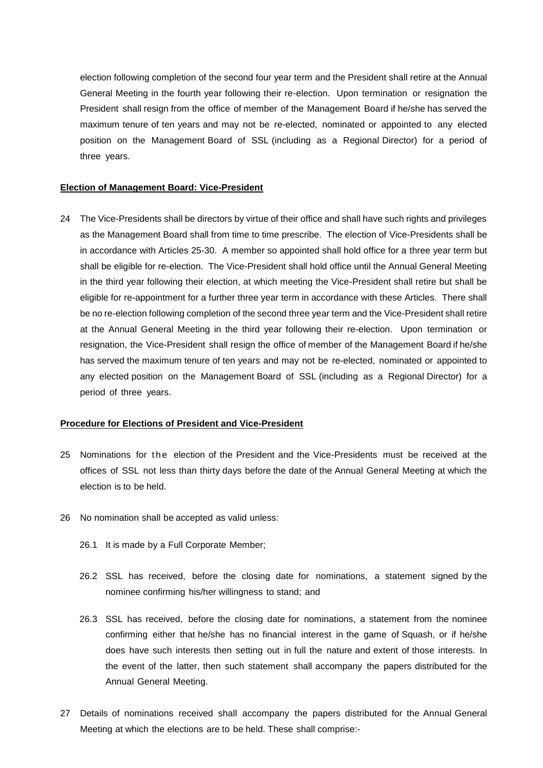election following completion of the second four year term and the President shall retire at the Annual General Meeting in the fourth year following their re-election. Upon termination or resignation the President shall resign from the office of member of the Management Board if he/she has served the maximum tenure of ten years and may not be re-elected, nominated or appointed to any elected position on the Management Board of SSL (including as a Regional Director) for a period of three years.

#### **Election of Management Board: Vice-President**

24 The Vice-Presidents shall be directors by virtue of their office and shall have such rights and privileges as the Management Board shall from time to time prescribe. The election of Vice-Presidents shall be in accordance with Articles 25-30. A member so appointed shall hold office for a three year term but shall be eligible for re-election. The Vice-President shall hold office until the Annual General Meeting in the third year following their election, at which meeting the Vice-President shall retire but shall be eligible for re-appointment for a further three year term in accordance with these Articles. There shall be no re-election following completion of the second three year term and the Vice-President shall retire at the Annual General Meeting in the third year following their re-election. Upon termination or resignation, the Vice-President shall resign the office of member of the Management Board if he/she has served the maximum tenure of ten years and may not be re-elected, nominated or appointed to any elected position on the Management Board of SSL (including as a Regional Director) for a period of three years.

# **Procedure for Elections of President and Vice-President**

- 25 Nominations for the election of the President and the Vice-Presidents must be received at the offices of SSL not less than thirty days before the date of the Annual General Meeting at which the election is to be held.
- 26 No nomination shall be accepted as valid unless:
	- 26.1 It is made by a Full Corporate Member;
	- 26.2 SSL has received, before the closing date for nominations, a statement signed by the nominee confirming his/her willingness to stand; and
	- 26.3 SSL has received, before the closing date for nominations, a statement from the nominee confirming either that he/she has no financial interest in the game of Squash, or if he/she does have such interests then setting out in full the nature and extent of those interests. In the event of the latter, then such statement shall accompany the papers distributed for the Annual General Meeting.
- 27 Details of nominations received shall accompany the papers distributed for the Annual General Meeting at which the elections are to be held. These shall comprise:-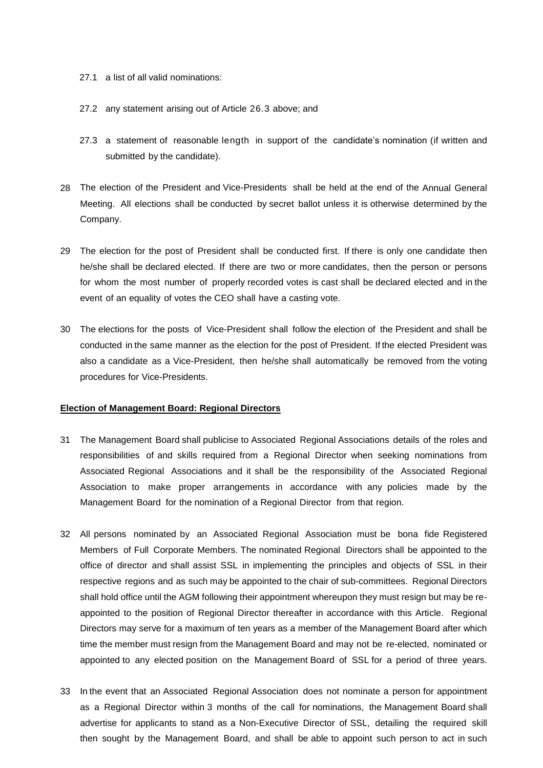- 27.1 a list of all valid nominations:
- 27.2 any statement arising out of Article 26.3 above; and
- 27.3 a statement of reasonable length in support of the candidate's nomination (if written and submitted by the candidate).
- 28 The election of the President and Vice-Presidents shall be held at the end of the Annual General Meeting. All elections shall be conducted by secret ballot unless it is otherwise determined by the Company.
- 29 The election for the post of President shall be conducted first. If there is only one candidate then he/she shall be declared elected. If there are two or more candidates, then the person or persons for whom the most number of properly recorded votes is cast shall be declared elected and in the event of an equality of votes the CEO shall have a casting vote.
- 30 The elections for the posts of Vice-President shall follow the election of the President and shall be conducted in the same manner as the election for the post of President. If the elected President was also a candidate as a Vice-President, then he/she shall automatically be removed from the voting procedures for Vice-Presidents.

# **Election of Management Board: Regional Directors**

- 31 The Management Board shall publicise to Associated Regional Associations details of the roles and responsibilities of and skills required from a Regional Director when seeking nominations from Associated Regional Associations and it shall be the responsibility of the Associated Regional Association to make proper arrangements in accordance with any policies made by the Management Board for the nomination of a Regional Director from that region.
- 32 All persons nominated by an Associated Regional Association must be bona fide Registered Members of Full Corporate Members. The nominated Regional Directors shall be appointed to the office of director and shall assist SSL in implementing the principles and objects of SSL in their respective regions and as such may be appointed to the chair of sub-committees. Regional Directors shall hold office until the AGM following their appointment whereupon they must resign but may be reappointed to the position of Regional Director thereafter in accordance with this Article. Regional Directors may serve for a maximum of ten years as a member of the Management Board after which time the member must resign from the Management Board and may not be re-elected, nominated or appointed to any elected position on the Management Board of SSL for a period of three years.
- 33 In the event that an Associated Regional Association does not nominate a person for appointment as a Regional Director within 3 months of the call for nominations, the Management Board shall advertise for applicants to stand as a Non-Executive Director of SSL, detailing the required skill then sought by the Management Board, and shall be able to appoint such person to act in such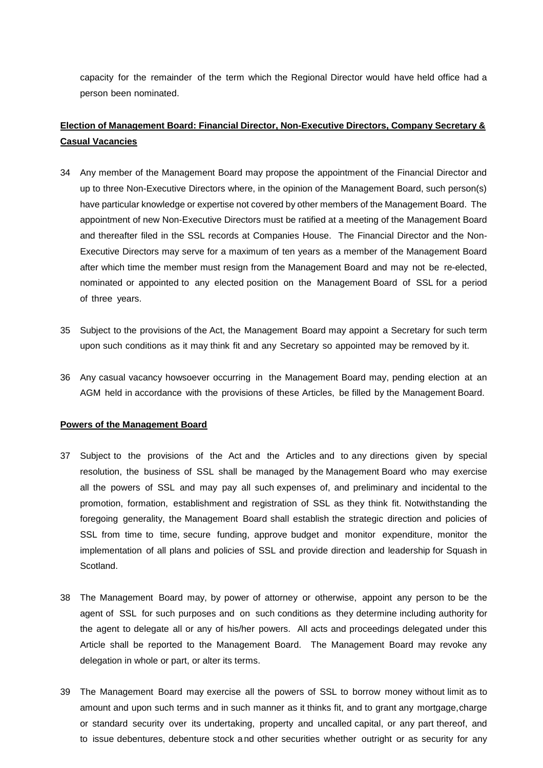capacity for the remainder of the term which the Regional Director would have held office had a person been nominated.

# **Election of Management Board: Financial Director, Non-Executive Directors, Company Secretary & Casual Vacancies**

- 34 Any member of the Management Board may propose the appointment of the Financial Director and up to three Non-Executive Directors where, in the opinion of the Management Board, such person(s) have particular knowledge or expertise not covered by other members of the Management Board. The appointment of new Non-Executive Directors must be ratified at a meeting of the Management Board and thereafter filed in the SSL records at Companies House. The Financial Director and the Non-Executive Directors may serve for a maximum of ten years as a member of the Management Board after which time the member must resign from the Management Board and may not be re-elected, nominated or appointed to any elected position on the Management Board of SSL for a period of three years.
- 35 Subject to the provisions of the Act, the Management Board may appoint a Secretary for such term upon such conditions as it may think fit and any Secretary so appointed may be removed by it.
- 36 Any casual vacancy howsoever occurring in the Management Board may, pending election at an AGM held in accordance with the provisions of these Articles, be filled by the Management Board.

## **Powers of the Management Board**

- 37 Subject to the provisions of the Act and the Articles and to any directions given by special resolution, the business of SSL shall be managed by the Management Board who may exercise all the powers of SSL and may pay all such expenses of, and preliminary and incidental to the promotion, formation, establishment and registration of SSL as they think fit. Notwithstanding the foregoing generality, the Management Board shall establish the strategic direction and policies of SSL from time to time, secure funding, approve budget and monitor expenditure, monitor the implementation of all plans and policies of SSL and provide direction and leadership for Squash in Scotland.
- 38 The Management Board may, by power of attorney or otherwise, appoint any person to be the agent of SSL for such purposes and on such conditions as they determine including authority for the agent to delegate all or any of his/her powers. All acts and proceedings delegated under this Article shall be reported to the Management Board. The Management Board may revoke any delegation in whole or part, or alter its terms.
- 39 The Management Board may exercise all the powers of SSL to borrow money without limit as to amount and upon such terms and in such manner as it thinks fit, and to grant any mortgage, charge or standard security over its undertaking, property and uncalled capital, or any part thereof, and to issue debentures, debenture stock a nd other securities whether outright or as security for any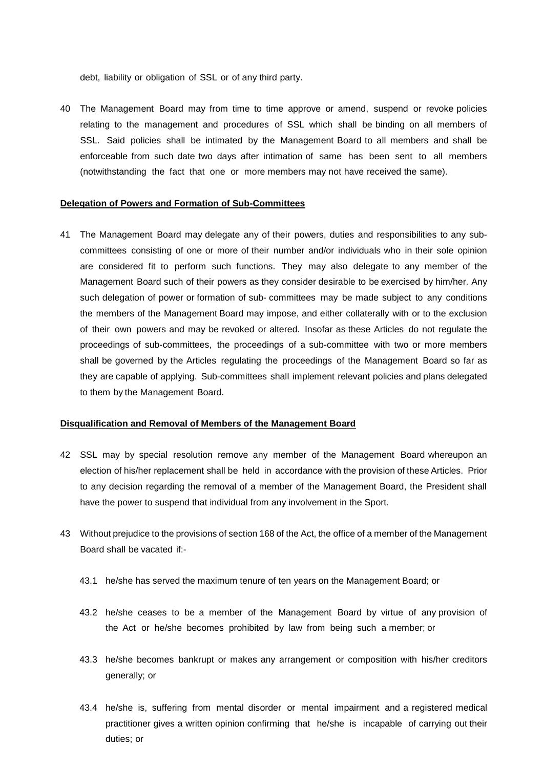debt, liability or obligation of SSL or of any third party.

40 The Management Board may from time to time approve or amend, suspend or revoke policies relating to the management and procedures of SSL which shall be binding on all members of SSL. Said policies shall be intimated by the Management Board to all members and shall be enforceable from such date two days after intimation of same has been sent to all members (notwithstanding the fact that one or more members may not have received the same).

#### **Delegation of Powers and Formation of Sub-Committees**

41 The Management Board may delegate any of their powers, duties and responsibilities to any subcommittees consisting of one or more of their number and/or individuals who in their sole opinion are considered fit to perform such functions. They may also delegate to any member of the Management Board such of their powers as they consider desirable to be exercised by him/her. Any such delegation of power or formation of sub- committees may be made subject to any conditions the members of the Management Board may impose, and either collaterally with or to the exclusion of their own powers and may be revoked or altered. Insofar as these Articles do not regulate the proceedings of sub-committees, the proceedings of a sub-committee with two or more members shall be governed by the Articles regulating the proceedings of the Management Board so far as they are capable of applying. Sub-committees shall implement relevant policies and plans delegated to them by the Management Board.

# **Disqualification and Removal of Members of the Management Board**

- 42 SSL may by special resolution remove any member of the Management Board whereupon an election of his/her replacement shall be held in accordance with the provision of these Articles. Prior to any decision regarding the removal of a member of the Management Board, the President shall have the power to suspend that individual from any involvement in the Sport.
- 43 Without prejudice to the provisions of section 168 of the Act, the office of a member of the Management Board shall be vacated if:-
	- 43.1 he/she has served the maximum tenure of ten years on the Management Board; or
	- 43.2 he/she ceases to be a member of the Management Board by virtue of any provision of the Act or he/she becomes prohibited by law from being such a member; or
	- 43.3 he/she becomes bankrupt or makes any arrangement or composition with his/her creditors generally; or
	- 43.4 he/she is, suffering from mental disorder or mental impairment and a registered medical practitioner gives a written opinion confirming that he/she is incapable of carrying out their duties; or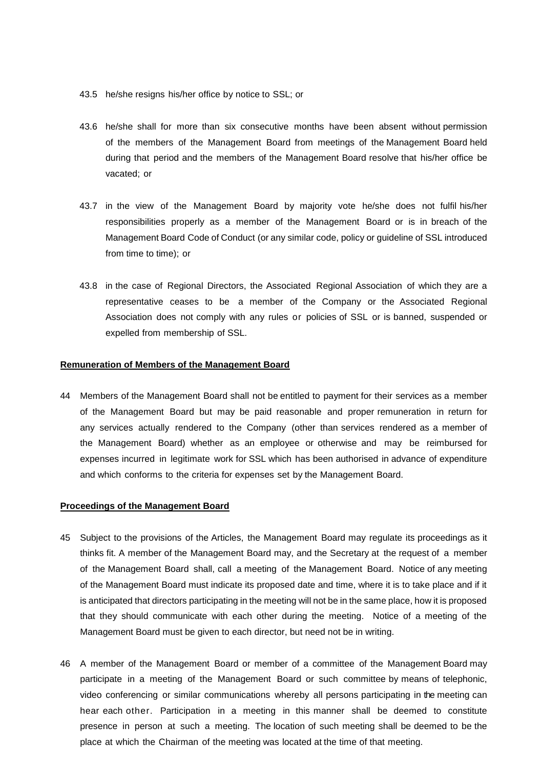- 43.5 he/she resigns his/her office by notice to SSL; or
- 43.6 he/she shall for more than six consecutive months have been absent without permission of the members of the Management Board from meetings of the Management Board held during that period and the members of the Management Board resolve that his/her office be vacated; or
- 43.7 in the view of the Management Board by majority vote he/she does not fulfil his/her responsibilities properly as a member of the Management Board or is in breach of the Management Board Code of Conduct (or any similar code, policy or guideline of SSL introduced from time to time); or
- 43.8 in the case of Regional Directors, the Associated Regional Association of which they are a representative ceases to be a member of the Company or the Associated Regional Association does not comply with any rules or policies of SSL or is banned, suspended or expelled from membership of SSL.

## **Remuneration of Members of the Management Board**

44 Members of the Management Board shall not be entitled to payment for their services as a member of the Management Board but may be paid reasonable and proper remuneration in return for any services actually rendered to the Company (other than services rendered as a member of the Management Board) whether as an employee or otherwise and may be reimbursed for expenses incurred in legitimate work for SSL which has been authorised in advance of expenditure and which conforms to the criteria for expenses set by the Management Board.

#### **Proceedings of the Management Board**

- 45 Subject to the provisions of the Articles, the Management Board may regulate its proceedings as it thinks fit. A member of the Management Board may, and the Secretary at the request of a member of the Management Board shall, call a meeting of the Management Board. Notice of any meeting of the Management Board must indicate its proposed date and time, where it is to take place and if it is anticipated that directors participating in the meeting will not be in the same place, how it is proposed that they should communicate with each other during the meeting. Notice of a meeting of the Management Board must be given to each director, but need not be in writing.
- 46 A member of the Management Board or member of a committee of the Management Board may participate in a meeting of the Management Board or such committee by means of telephonic, video conferencing or similar communications whereby all persons participating in the meeting can hear each other. Participation in a meeting in this manner shall be deemed to constitute presence in person at such a meeting. The location of such meeting shall be deemed to be the place at which the Chairman of the meeting was located at the time of that meeting.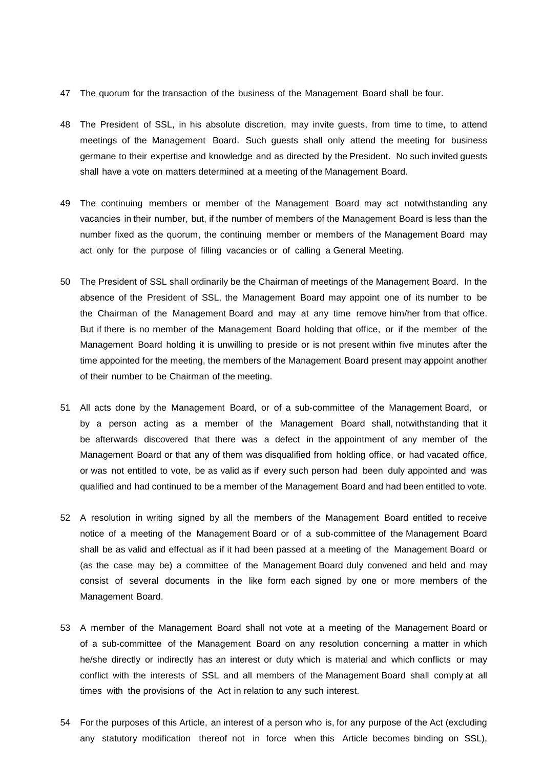- 47 The quorum for the transaction of the business of the Management Board shall be four.
- 48 The President of SSL, in his absolute discretion, may invite guests, from time to time, to attend meetings of the Management Board. Such guests shall only attend the meeting for business germane to their expertise and knowledge and as directed by the President. No such invited guests shall have a vote on matters determined at a meeting of the Management Board.
- 49 The continuing members or member of the Management Board may act notwithstanding any vacancies in their number, but, if the number of members of the Management Board is less than the number fixed as the quorum, the continuing member or members of the Management Board may act only for the purpose of filling vacancies or of calling a General Meeting.
- 50 The President of SSL shall ordinarily be the Chairman of meetings of the Management Board. In the absence of the President of SSL, the Management Board may appoint one of its number to be the Chairman of the Management Board and may at any time remove him/her from that office. But if there is no member of the Management Board holding that office, or if the member of the Management Board holding it is unwilling to preside or is not present within five minutes after the time appointed for the meeting, the members of the Management Board present may appoint another of their number to be Chairman of the meeting.
- 51 All acts done by the Management Board, or of a sub-committee of the Management Board, or by a person acting as a member of the Management Board shall, notwithstanding that it be afterwards discovered that there was a defect in the appointment of any member of the Management Board or that any of them was disqualified from holding office, or had vacated office, or was not entitled to vote, be as valid as if every such person had been duly appointed and was qualified and had continued to be a member of the Management Board and had been entitled to vote.
- 52 A resolution in writing signed by all the members of the Management Board entitled to receive notice of a meeting of the Management Board or of a sub-committee of the Management Board shall be as valid and effectual as if it had been passed at a meeting of the Management Board or (as the case may be) a committee of the Management Board duly convened and held and may consist of several documents in the like form each signed by one or more members of the Management Board.
- 53 A member of the Management Board shall not vote at a meeting of the Management Board or of a sub-committee of the Management Board on any resolution concerning a matter in which he/she directly or indirectly has an interest or duty which is material and which conflicts or may conflict with the interests of SSL and all members of the Management Board shall comply at all times with the provisions of the Act in relation to any such interest.
- 54 For the purposes of this Article, an interest of a person who is, for any purpose of the Act (excluding any statutory modification thereof not in force when this Article becomes binding on SSL),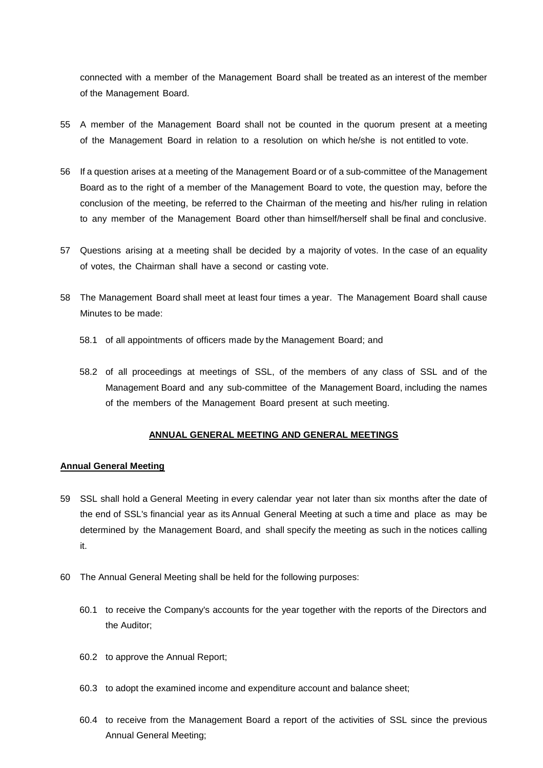connected with a member of the Management Board shall be treated as an interest of the member of the Management Board.

- 55 A member of the Management Board shall not be counted in the quorum present at a meeting of the Management Board in relation to a resolution on which he/she is not entitled to vote.
- 56 If a question arises at a meeting of the Management Board or of a sub-committee of the Management Board as to the right of a member of the Management Board to vote, the question may, before the conclusion of the meeting, be referred to the Chairman of the meeting and his/her ruling in relation to any member of the Management Board other than himself/herself shall be final and conclusive.
- 57 Questions arising at a meeting shall be decided by a majority of votes. In the case of an equality of votes, the Chairman shall have a second or casting vote.
- 58 The Management Board shall meet at least four times a year. The Management Board shall cause Minutes to be made:
	- 58.1 of all appointments of officers made by the Management Board; and
	- 58.2 of all proceedings at meetings of SSL, of the members of any class of SSL and of the Management Board and any sub-committee of the Management Board, including the names of the members of the Management Board present at such meeting.

# **ANNUAL GENERAL MEETING AND GENERAL MEETINGS**

## **Annual General Meeting**

- 59 SSL shall hold a General Meeting in every calendar year not later than six months after the date of the end of SSL's financial year as its Annual General Meeting at such a time and place as may be determined by the Management Board, and shall specify the meeting as such in the notices calling it.
- 60 The Annual General Meeting shall be held for the following purposes:
	- 60.1 to receive the Company's accounts for the year together with the reports of the Directors and the Auditor;
	- 60.2 to approve the Annual Report;
	- 60.3 to adopt the examined income and expenditure account and balance sheet;
	- 60.4 to receive from the Management Board a report of the activities of SSL since the previous Annual General Meeting;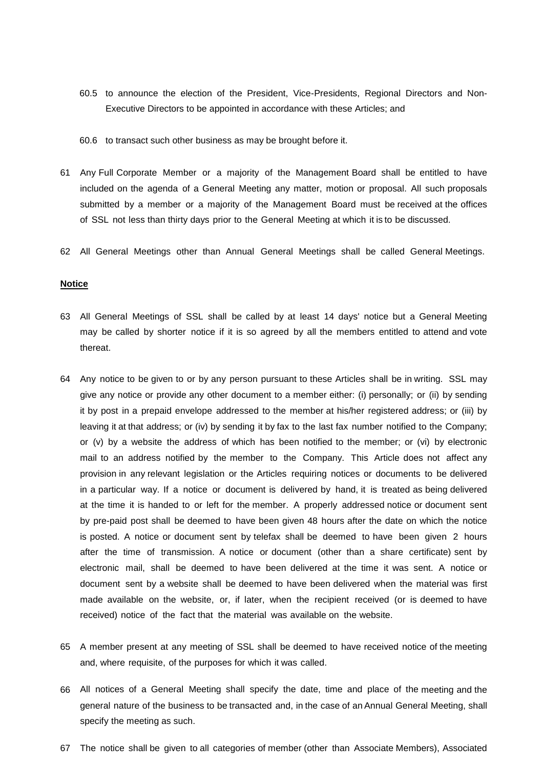- 60.5 to announce the election of the President, Vice-Presidents, Regional Directors and Non-Executive Directors to be appointed in accordance with these Articles; and
- 60.6 to transact such other business as may be brought before it.
- 61 Any Full Corporate Member or a majority of the Management Board shall be entitled to have included on the agenda of a General Meeting any matter, motion or proposal. All such proposals submitted by a member or a majority of the Management Board must be received at the offices of SSL not less than thirty days prior to the General Meeting at which it is to be discussed.
- 62 All General Meetings other than Annual General Meetings shall be called General Meetings.

#### **Notice**

- 63 All General Meetings of SSL shall be called by at least 14 days' notice but a General Meeting may be called by shorter notice if it is so agreed by all the members entitled to attend and vote thereat.
- 64 Any notice to be given to or by any person pursuant to these Articles shall be in writing. SSL may give any notice or provide any other document to a member either: (i) personally; or (ii) by sending it by post in a prepaid envelope addressed to the member at his/her registered address; or (iii) by leaving it at that address; or (iv) by sending it by fax to the last fax number notified to the Company; or (v) by a website the address of which has been notified to the member; or (vi) by electronic mail to an address notified by the member to the Company. This Article does not affect any provision in any relevant legislation or the Articles requiring notices or documents to be delivered in a particular way. If a notice or document is delivered by hand, it is treated as being delivered at the time it is handed to or left for the member. A properly addressed notice or document sent by pre-paid post shall be deemed to have been given 48 hours after the date on which the notice is posted. A notice or document sent by telefax shall be deemed to have been given 2 hours after the time of transmission. A notice or document (other than a share certificate) sent by electronic mail, shall be deemed to have been delivered at the time it was sent. A notice or document sent by a website shall be deemed to have been delivered when the material was first made available on the website, or, if later, when the recipient received (or is deemed to have received) notice of the fact that the material was available on the website.
- 65 A member present at any meeting of SSL shall be deemed to have received notice of the meeting and, where requisite, of the purposes for which it was called.
- 66 All notices of a General Meeting shall specify the date, time and place of the meeting and the general nature of the business to be transacted and, in the case of an Annual General Meeting, shall specify the meeting as such.
- 67 The notice shall be given to all categories of member (other than Associate Members), Associated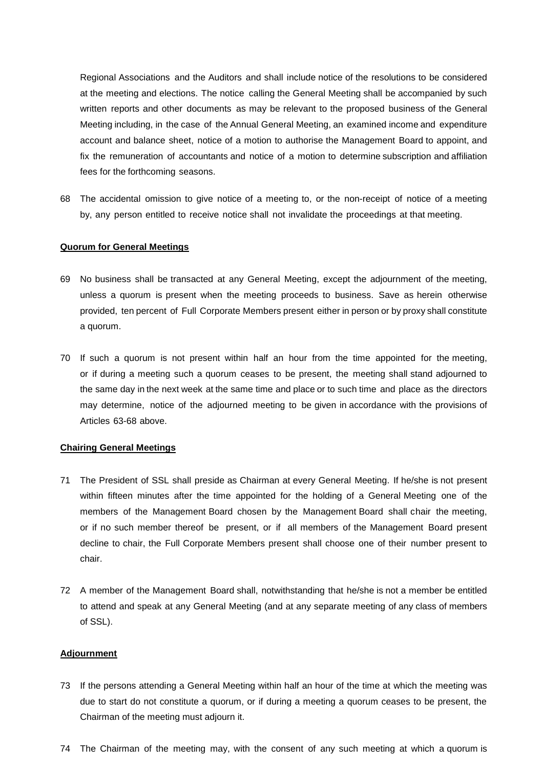Regional Associations and the Auditors and shall include notice of the resolutions to be considered at the meeting and elections. The notice calling the General Meeting shall be accompanied by such written reports and other documents as may be relevant to the proposed business of the General Meeting including, in the case of the Annual General Meeting, an examined income and expenditure account and balance sheet, notice of a motion to authorise the Management Board to appoint, and fix the remuneration of accountants and notice of a motion to determine subscription and affiliation fees for the forthcoming seasons.

68 The accidental omission to give notice of a meeting to, or the non-receipt of notice of a meeting by, any person entitled to receive notice shall not invalidate the proceedings at that meeting.

#### **Quorum for General Meetings**

- 69 No business shall be transacted at any General Meeting, except the adjournment of the meeting, unless a quorum is present when the meeting proceeds to business. Save as herein otherwise provided, ten percent of Full Corporate Members present either in person or by proxy shall constitute a quorum.
- 70 If such a quorum is not present within half an hour from the time appointed for the meeting, or if during a meeting such a quorum ceases to be present, the meeting shall stand adjourned to the same day in the next week at the same time and place or to such time and place as the directors may determine, notice of the adjourned meeting to be given in accordance with the provisions of Articles 63-68 above.

## **Chairing General Meetings**

- 71 The President of SSL shall preside as Chairman at every General Meeting. If he/she is not present within fifteen minutes after the time appointed for the holding of a General Meeting one of the members of the Management Board chosen by the Management Board shall chair the meeting, or if no such member thereof be present, or if all members of the Management Board present decline to chair, the Full Corporate Members present shall choose one of their number present to chair.
- 72 A member of the Management Board shall, notwithstanding that he/she is not a member be entitled to attend and speak at any General Meeting (and at any separate meeting of any class of members of SSL).

## **Adjournment**

- 73 If the persons attending a General Meeting within half an hour of the time at which the meeting was due to start do not constitute a quorum, or if during a meeting a quorum ceases to be present, the Chairman of the meeting must adjourn it.
- 74 The Chairman of the meeting may, with the consent of any such meeting at which a quorum is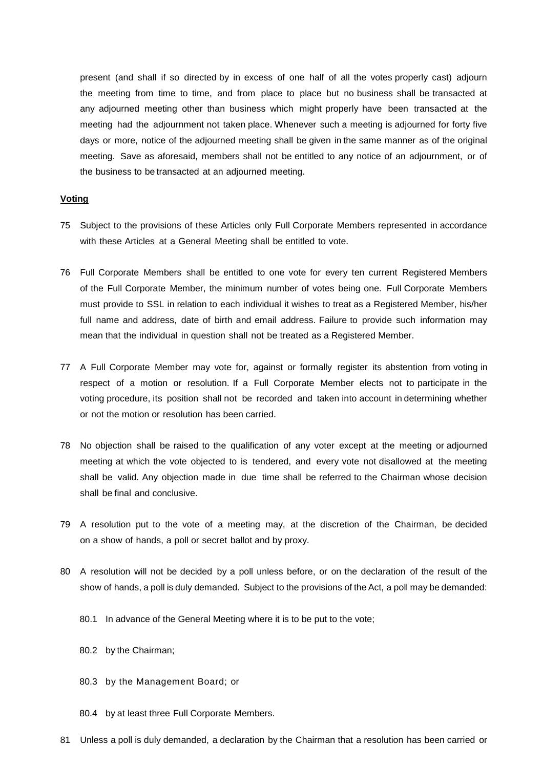present (and shall if so directed by in excess of one half of all the votes properly cast) adjourn the meeting from time to time, and from place to place but no business shall be transacted at any adjourned meeting other than business which might properly have been transacted at the meeting had the adjournment not taken place. Whenever such a meeting is adjourned for forty five days or more, notice of the adjourned meeting shall be given in the same manner as of the original meeting. Save as aforesaid, members shall not be entitled to any notice of an adjournment, or of the business to be transacted at an adjourned meeting.

## **Voting**

- 75 Subject to the provisions of these Articles only Full Corporate Members represented in accordance with these Articles at a General Meeting shall be entitled to vote.
- 76 Full Corporate Members shall be entitled to one vote for every ten current Registered Members of the Full Corporate Member, the minimum number of votes being one. Full Corporate Members must provide to SSL in relation to each individual it wishes to treat as a Registered Member, his/her full name and address, date of birth and email address. Failure to provide such information may mean that the individual in question shall not be treated as a Registered Member.
- 77 A Full Corporate Member may vote for, against or formally register its abstention from voting in respect of a motion or resolution. If a Full Corporate Member elects not to participate in the voting procedure, its position shall not be recorded and taken into account in determining whether or not the motion or resolution has been carried.
- 78 No objection shall be raised to the qualification of any voter except at the meeting or adjourned meeting at which the vote objected to is tendered, and every vote not disallowed at the meeting shall be valid. Any objection made in due time shall be referred to the Chairman whose decision shall be final and conclusive.
- 79 A resolution put to the vote of a meeting may, at the discretion of the Chairman, be decided on a show of hands, a poll or secret ballot and by proxy.
- 80 A resolution will not be decided by a poll unless before, or on the declaration of the result of the show of hands, a poll is duly demanded. Subject to the provisions of the Act, a poll may be demanded:
	- 80.1 In advance of the General Meeting where it is to be put to the vote;
	- 80.2 by the Chairman;
	- 80.3 by the Management Board; or
	- 80.4 by at least three Full Corporate Members.
- 81 Unless a poll is duly demanded, a declaration by the Chairman that a resolution has been carried or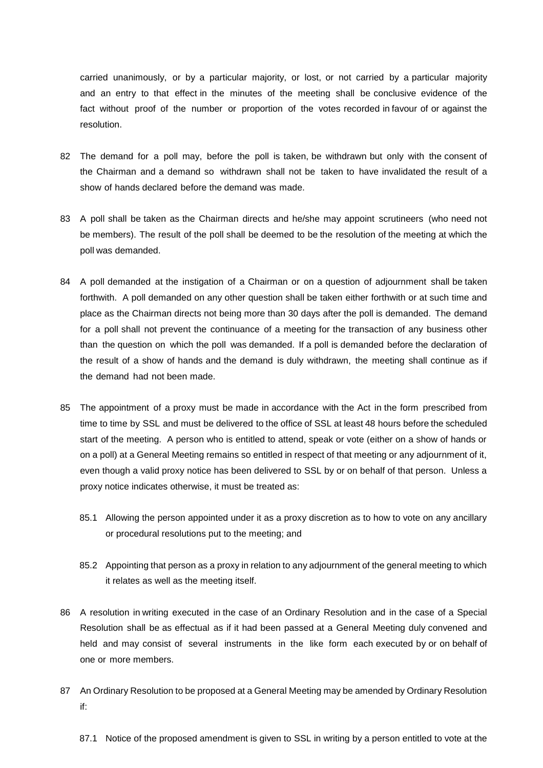carried unanimously, or by a particular majority, or lost, or not carried by a particular majority and an entry to that effect in the minutes of the meeting shall be conclusive evidence of the fact without proof of the number or proportion of the votes recorded in favour of or against the resolution.

- 82 The demand for a poll may, before the poll is taken, be withdrawn but only with the consent of the Chairman and a demand so withdrawn shall not be taken to have invalidated the result of a show of hands declared before the demand was made.
- 83 A poll shall be taken as the Chairman directs and he/she may appoint scrutineers (who need not be members). The result of the poll shall be deemed to be the resolution of the meeting at which the poll was demanded.
- 84 A poll demanded at the instigation of a Chairman or on a question of adjournment shall be taken forthwith. A poll demanded on any other question shall be taken either forthwith or at such time and place as the Chairman directs not being more than 30 days after the poll is demanded. The demand for a poll shall not prevent the continuance of a meeting for the transaction of any business other than the question on which the poll was demanded. If a poll is demanded before the declaration of the result of a show of hands and the demand is duly withdrawn, the meeting shall continue as if the demand had not been made.
- 85 The appointment of a proxy must be made in accordance with the Act in the form prescribed from time to time by SSL and must be delivered to the office of SSL at least 48 hours before the scheduled start of the meeting. A person who is entitled to attend, speak or vote (either on a show of hands or on a poll) at a General Meeting remains so entitled in respect of that meeting or any adjournment of it, even though a valid proxy notice has been delivered to SSL by or on behalf of that person. Unless a proxy notice indicates otherwise, it must be treated as:
	- 85.1 Allowing the person appointed under it as a proxy discretion as to how to vote on any ancillary or procedural resolutions put to the meeting; and
	- 85.2 Appointing that person as a proxy in relation to any adjournment of the general meeting to which it relates as well as the meeting itself.
- 86 A resolution in writing executed in the case of an Ordinary Resolution and in the case of a Special Resolution shall be as effectual as if it had been passed at a General Meeting duly convened and held and may consist of several instruments in the like form each executed by or on behalf of one or more members.
- 87 An Ordinary Resolution to be proposed at a General Meeting may be amended by Ordinary Resolution if:
	- 87.1 Notice of the proposed amendment is given to SSL in writing by a person entitled to vote at the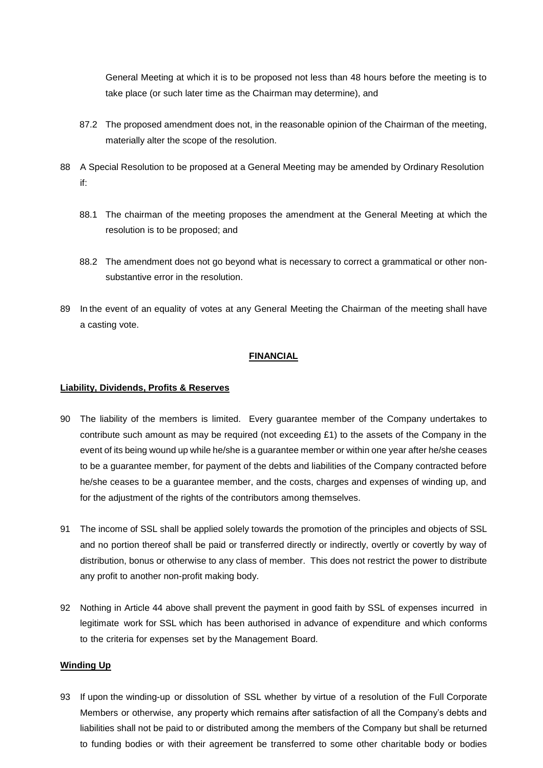General Meeting at which it is to be proposed not less than 48 hours before the meeting is to take place (or such later time as the Chairman may determine), and

- 87.2 The proposed amendment does not, in the reasonable opinion of the Chairman of the meeting, materially alter the scope of the resolution.
- 88 A Special Resolution to be proposed at a General Meeting may be amended by Ordinary Resolution if:
	- 88.1 The chairman of the meeting proposes the amendment at the General Meeting at which the resolution is to be proposed; and
	- 88.2 The amendment does not go beyond what is necessary to correct a grammatical or other nonsubstantive error in the resolution.
- 89 In the event of an equality of votes at any General Meeting the Chairman of the meeting shall have a casting vote.

# **FINANCIAL**

# **Liability, Dividends, Profits & Reserves**

- 90 The liability of the members is limited. Every guarantee member of the Company undertakes to contribute such amount as may be required (not exceeding £1) to the assets of the Company in the event of its being wound up while he/she is a guarantee member or within one year after he/she ceases to be a guarantee member, for payment of the debts and liabilities of the Company contracted before he/she ceases to be a guarantee member, and the costs, charges and expenses of winding up, and for the adjustment of the rights of the contributors among themselves.
- 91 The income of SSL shall be applied solely towards the promotion of the principles and objects of SSL and no portion thereof shall be paid or transferred directly or indirectly, overtly or covertly by way of distribution, bonus or otherwise to any class of member. This does not restrict the power to distribute any profit to another non-profit making body.
- 92 Nothing in Article 44 above shall prevent the payment in good faith by SSL of expenses incurred in legitimate work for SSL which has been authorised in advance of expenditure and which conforms to the criteria for expenses set by the Management Board.

# **Winding Up**

93 If upon the winding-up or dissolution of SSL whether by virtue of a resolution of the Full Corporate Members or otherwise, any property which remains after satisfaction of all the Company's debts and liabilities shall not be paid to or distributed among the members of the Company but shall be returned to funding bodies or with their agreement be transferred to some other charitable body or bodies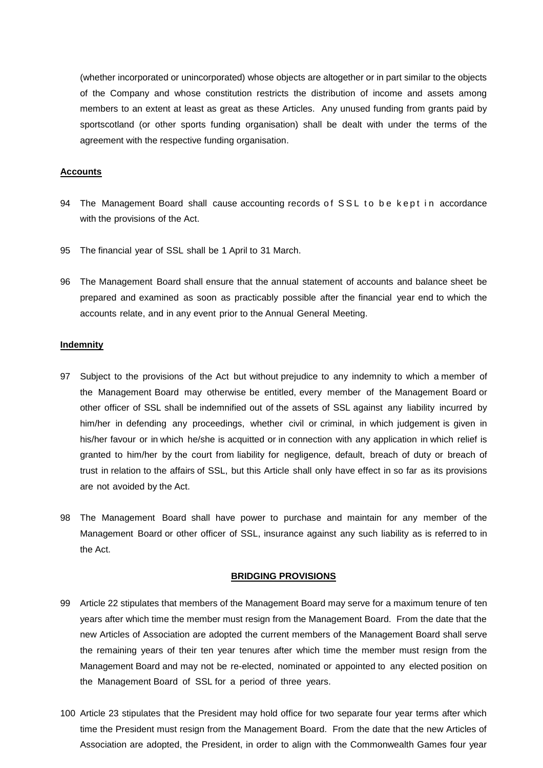(whether incorporated or unincorporated) whose objects are altogether or in part similar to the objects of the Company and whose constitution restricts the distribution of income and assets among members to an extent at least as great as these Articles. Any unused funding from grants paid by sportscotland (or other sports funding organisation) shall be dealt with under the terms of the agreement with the respective funding organisation.

#### **Accounts**

- 94 The Management Board shall cause accounting records of SSL to be kept in accordance with the provisions of the Act.
- 95 The financial year of SSL shall be 1 April to 31 March.
- 96 The Management Board shall ensure that the annual statement of accounts and balance sheet be prepared and examined as soon as practicably possible after the financial year end to which the accounts relate, and in any event prior to the Annual General Meeting.

#### **Indemnity**

- 97 Subject to the provisions of the Act but without prejudice to any indemnity to which a member of the Management Board may otherwise be entitled, every member of the Management Board or other officer of SSL shall be indemnified out of the assets of SSL against any liability incurred by him/her in defending any proceedings, whether civil or criminal, in which judgement is given in his/her favour or in which he/she is acquitted or in connection with any application in which relief is granted to him/her by the court from liability for negligence, default, breach of duty or breach of trust in relation to the affairs of SSL, but this Article shall only have effect in so far as its provisions are not avoided by the Act.
- 98 The Management Board shall have power to purchase and maintain for any member of the Management Board or other officer of SSL, insurance against any such liability as is referred to in the Act.

#### **BRIDGING PROVISIONS**

- 99 Article 22 stipulates that members of the Management Board may serve for a maximum tenure of ten years after which time the member must resign from the Management Board. From the date that the new Articles of Association are adopted the current members of the Management Board shall serve the remaining years of their ten year tenures after which time the member must resign from the Management Board and may not be re-elected, nominated or appointed to any elected position on the Management Board of SSL for a period of three years.
- 100 Article 23 stipulates that the President may hold office for two separate four year terms after which time the President must resign from the Management Board. From the date that the new Articles of Association are adopted, the President, in order to align with the Commonwealth Games four year